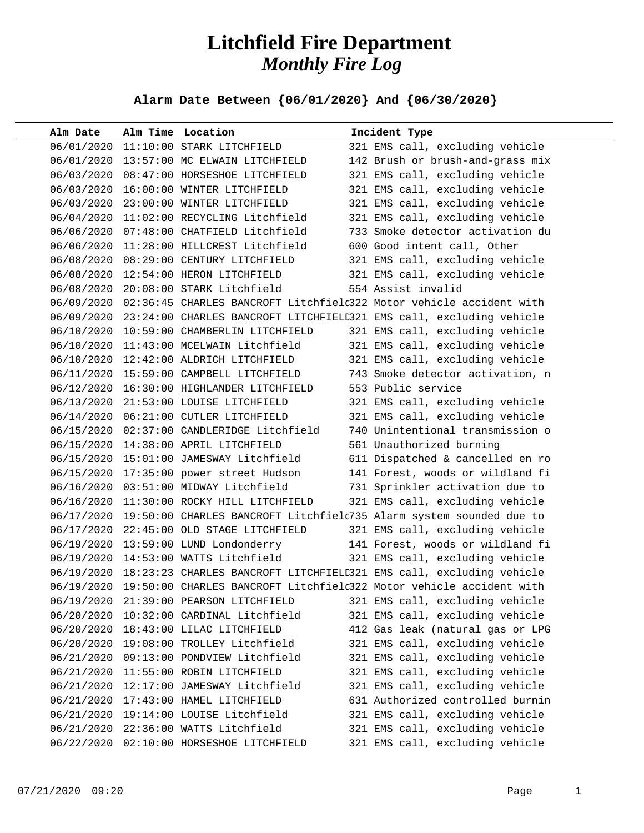## **Litchfield Fire Department** *Monthly Fire Log*

**Alarm Date Between {06/01/2020} And {06/30/2020}** 

| Alm Date   |            | Alm Time Location                          | Incident Type                                                                  |
|------------|------------|--------------------------------------------|--------------------------------------------------------------------------------|
|            |            | 06/01/2020 11:10:00 STARK LITCHFIELD       | 321 EMS call, excluding vehicle                                                |
|            |            | 06/01/2020 13:57:00 MC ELWAIN LITCHFIELD   | 142 Brush or brush-and-grass mix                                               |
|            |            | 06/03/2020 08:47:00 HORSESHOE LITCHFIELD   | 321 EMS call, excluding vehicle                                                |
|            | 06/03/2020 | 16:00:00 WINTER LITCHFIELD                 | 321 EMS call, excluding vehicle                                                |
|            |            | 06/03/2020 23:00:00 WINTER LITCHFIELD      | 321 EMS call, excluding vehicle                                                |
|            |            | 06/04/2020 11:02:00 RECYCLING Litchfield   | 321 EMS call, excluding vehicle                                                |
|            |            | 06/06/2020 07:48:00 CHATFIELD Litchfield   | 733 Smoke detector activation du                                               |
|            |            | 06/06/2020 11:28:00 HILLCREST Litchfield   | 600 Good intent call, Other                                                    |
|            |            | 06/08/2020 08:29:00 CENTURY LITCHFIELD     | 321 EMS call, excluding vehicle                                                |
|            |            | 06/08/2020 12:54:00 HERON LITCHFIELD       | 321 EMS call, excluding vehicle                                                |
|            |            | 06/08/2020 20:08:00 STARK Litchfield       | 554 Assist invalid                                                             |
|            |            |                                            | 06/09/2020 02:36:45 CHARLES BANCROFT Litchfield322 Motor vehicle accident with |
|            |            |                                            | 06/09/2020 23:24:00 CHARLES BANCROFT LITCHFIELI321 EMS call, excluding vehicle |
|            |            | 06/10/2020 10:59:00 CHAMBERLIN LITCHFIELD  | 321 EMS call, excluding vehicle                                                |
|            |            | 06/10/2020 11:43:00 MCELWAIN Litchfield    | 321 EMS call, excluding vehicle                                                |
|            |            | 06/10/2020 12:42:00 ALDRICH LITCHFIELD     | 321 EMS call, excluding vehicle                                                |
|            |            | 06/11/2020 15:59:00 CAMPBELL LITCHFIELD    | 743 Smoke detector activation, n                                               |
|            |            | 06/12/2020 16:30:00 HIGHLANDER LITCHFIELD  | 553 Public service                                                             |
|            |            | 06/13/2020 21:53:00 LOUISE LITCHFIELD      | 321 EMS call, excluding vehicle                                                |
|            |            | 06/14/2020  06:21:00  CUTLER LITCHFIELD    | 321 EMS call, excluding vehicle                                                |
|            |            | 06/15/2020 02:37:00 CANDLERIDGE Litchfield | 740 Unintentional transmission o                                               |
|            |            | 06/15/2020 14:38:00 APRIL LITCHFIELD       | 561 Unauthorized burning                                                       |
|            |            | 06/15/2020 15:01:00 JAMESWAY Litchfield    | 611 Dispatched & cancelled en ro                                               |
|            |            | 06/15/2020 17:35:00 power street Hudson    | 141 Forest, woods or wildland fi                                               |
|            |            | 06/16/2020 03:51:00 MIDWAY Litchfield      | 731 Sprinkler activation due to                                                |
|            |            | 06/16/2020 11:30:00 ROCKY HILL LITCHFIELD  | 321 EMS call, excluding vehicle                                                |
|            |            |                                            | 06/17/2020 19:50:00 CHARLES BANCROFT Litchfielc735 Alarm system sounded due to |
|            |            | 06/17/2020 22:45:00 OLD STAGE LITCHFIELD   | 321 EMS call, excluding vehicle                                                |
|            |            | 06/19/2020 13:59:00 LUND Londonderry       | 141 Forest, woods or wildland fi                                               |
|            |            | 06/19/2020 14:53:00 WATTS Litchfield       | 321 EMS call, excluding vehicle                                                |
|            |            |                                            | 06/19/2020 18:23:23 CHARLES BANCROFT LITCHFIELI321 EMS call, excluding vehicle |
|            |            |                                            | 06/19/2020 19:50:00 CHARLES BANCROFT Litchfield322 Motor vehicle accident with |
| 06/19/2020 |            | 21:39:00 PEARSON LITCHFIELD                | 321 EMS call, excluding vehicle                                                |
| 06/20/2020 |            | 10:32:00 CARDINAL Litchfield               | 321 EMS call, excluding vehicle                                                |
| 06/20/2020 |            | 18:43:00 LILAC LITCHFIELD                  | 412 Gas leak (natural gas or LPG                                               |
|            | 06/20/2020 | 19:08:00 TROLLEY Litchfield                | 321 EMS call, excluding vehicle                                                |
| 06/21/2020 |            | 09:13:00 PONDVIEW Litchfield               | 321 EMS call, excluding vehicle                                                |
| 06/21/2020 |            | 11:55:00 ROBIN LITCHFIELD                  | 321 EMS call, excluding vehicle                                                |
| 06/21/2020 |            | 12:17:00 JAMESWAY Litchfield               | 321 EMS call, excluding vehicle                                                |
| 06/21/2020 |            | 17:43:00 HAMEL LITCHFIELD                  | 631 Authorized controlled burnin                                               |
| 06/21/2020 |            | 19:14:00 LOUISE Litchfield                 | 321 EMS call, excluding vehicle                                                |
|            | 06/21/2020 | 22:36:00 WATTS Litchfield                  | 321 EMS call, excluding vehicle                                                |
| 06/22/2020 |            | 02:10:00 HORSESHOE LITCHFIELD              | 321 EMS call, excluding vehicle                                                |